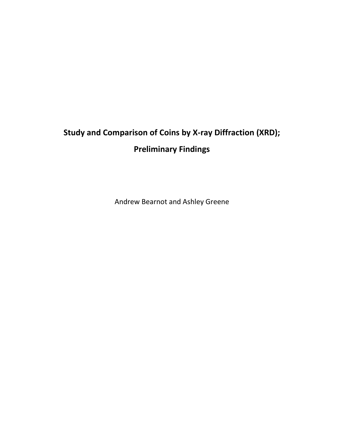# **Study and Comparison of Coins by X-ray Diffraction (XRD); Preliminary Findings**

Andrew Bearnot and Ashley Greene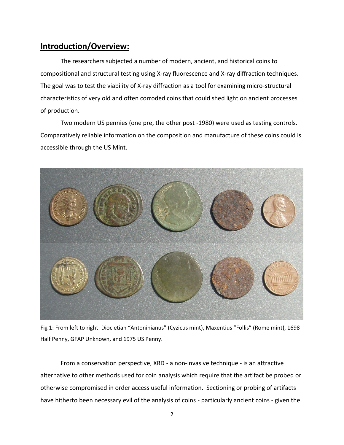# **Introduction/Overview:**

The researchers subjected a number of modern, ancient, and historical coins to compositional and structural testing using X-ray fluorescence and X-ray diffraction techniques. The goal was to test the viability of X-ray diffraction as a tool for examining micro-structural characteristics of very old and often corroded coins that could shed light on ancient processes of production.

Two modern US pennies (one pre, the other post -1980) were used as testing controls. Comparatively reliable information on the composition and manufacture of these coins could is accessible through the US Mint.



Fig 1: From left to right: Diocletian "Antoninianus" (Cyzicus mint), Maxentius "Follis" (Rome mint), 1698 Half Penny, GFAP Unknown, and 1975 US Penny.

From a conservation perspective, XRD - a non-invasive technique - is an attractive alternative to other methods used for coin analysis which require that the artifact be probed or otherwise compromised in order access useful information. Sectioning or probing of artifacts have hitherto been necessary evil of the analysis of coins - particularly ancient coins - given the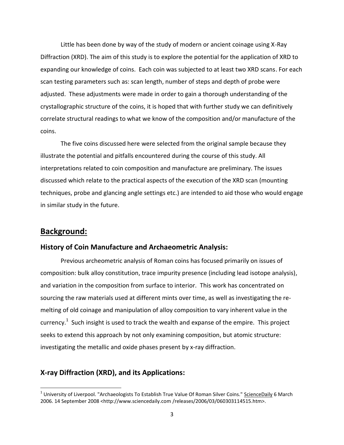Little has been done by way of the study of modern or ancient coinage using X-Ray Diffraction (XRD). The aim of this study is to explore the potential for the application of XRD to expanding our knowledge of coins. Each coin was subjected to at least two XRD scans. For each scan testing parameters such as: scan length, number of steps and depth of probe were adjusted. These adjustments were made in order to gain a thorough understanding of the crystallographic structure of the coins, it is hoped that with further study we can definitively correlate structural readings to what we know of the composition and/or manufacture of the coins.

The five coins discussed here were selected from the original sample because they illustrate the potential and pitfalls encountered during the course of this study. All interpretations related to coin composition and manufacture are preliminary. The issues discussed which relate to the practical aspects of the execution of the XRD scan (mounting techniques, probe and glancing angle settings etc.) are intended to aid those who would engage in similar study in the future.

# **Background:**

l

#### **History of Coin Manufacture and Archaeometric Analysis:**

Previous archeometric analysis of Roman coins has focused primarily on issues of composition: bulk alloy constitution, trace impurity presence (including lead isotope analysis), and variation in the composition from surface to interior. This work has concentrated on sourcing the raw materials used at different mints over time, as well as investigating the remelting of old coinage and manipulation of alloy composition to vary inherent value in the currency.<sup>1</sup> Such insight is used to track the wealth and expanse of the empire. This project seeks to extend this approach by not only examining composition, but atomic structure: investigating the metallic and oxide phases present by x-ray diffraction.

# **X-ray Diffraction (XRD), and its Applications:**

<sup>&</sup>lt;sup>1</sup> University of Liverpool. "Archaeologists To Establish True Value Of Roman Silver Coins." <u>ScienceDaily</u> 6 March 2006. 14 September 2008 <http://www.sciencedaily.com /releases/2006/03/060303114515.htm>.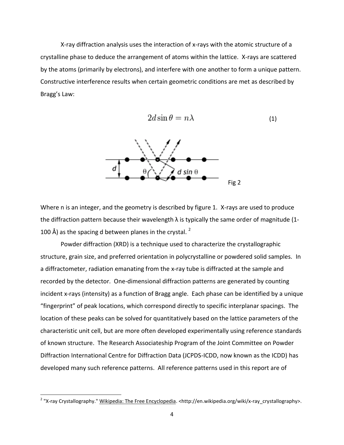X-ray diffraction analysis uses the interaction of x-rays with the atomic structure of a crystalline phase to deduce the arrangement of atoms within the lattice. X-rays are scattered by the atoms (primarily by electrons), and interfere with one another to form a unique pattern. Constructive interference results when certain geometric conditions are met as described by Bragg's Law:

$$
2d\sin\theta = n\lambda \tag{1}
$$



Where n is an integer, and the geometry is described by figure 1. X-rays are used to produce the diffraction pattern because their wavelength  $\lambda$  is typically the same order of magnitude (1-100 Å) as the spacing d between planes in the crystal.  $2$ 

Powder diffraction (XRD) is a technique used to characterize the crystallographic structure, grain size, and preferred orientation in polycrystalline or powdered solid samples. In a diffractometer, radiation emanating from the x-ray tube is diffracted at the sample and recorded by the detector. One-dimensional diffraction patterns are generated by counting incident x-rays (intensity) as a function of Bragg angle. Each phase can be identified by a unique "fingerprint" of peak locations, which correspond directly to specific interplanar spacings. The location of these peaks can be solved for quantitatively based on the lattice parameters of the characteristic unit cell, but are more often developed experimentally using reference standards of known structure. The Research Associateship Program of the Joint Committee on Powder Diffraction International Centre for Diffraction Data (JCPDS-ICDD, now known as the ICDD) has developed many such reference patterns. All reference patterns used in this report are of

 $\overline{\phantom{a}}$ 

<sup>&</sup>lt;sup>2</sup> "X-ray Crystallography." <u>Wikipedia: The Free Encyclopedia</u>. <http://en.wikipedia.org/wiki/x-ray\_crystallography>.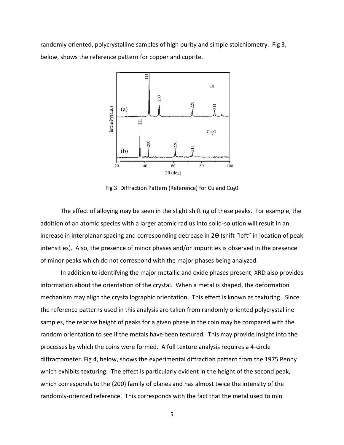randomly oriented, polycrystalline samples of high purity and simple stoichiometry. Fig 3, below, shows the reference pattern for copper and cuprite.



Fig 3: Diffraction Pattern (Reference) for Cu and  $Cu<sub>2</sub>O$ 

The effect of alloying may be seen in the slight shifting of these peaks. For example, the addition of an atomic species with a larger atomic radius into solid-solution will result in an increase in interplanar spacing and corresponding decrease in 2Ѳ (shift "left" in location of peak intensities). Also, the presence of minor phases and/or impurities is observed in the presence of minor peaks which do not correspond with the major phases being analyzed.

In addition to identifying the major metallic and oxide phases present, XRD also provides information about the orientation of the crystal. When a metal is shaped, the deformation mechanism may align the crystallographic orientation. This effect is known as texturing. Since the reference patterns used in this analysis are taken from randomly oriented polycrystalline samples, the relative height of peaks for a given phase in the coin may be compared with the random orientation to see if the metals have been textured. This may provide insight into the processes by which the coins were formed. A full texture analysis requires a 4-circle diffractometer. Fig 4, below, shows the experimental diffraction pattern from the 1975 Penny which exhibits texturing. The effect is particularly evident in the height of the second peak, which corresponds to the {200} family of planes and has almost twice the intensity of the randomly-oriented reference. This corresponds with the fact that the metal used to min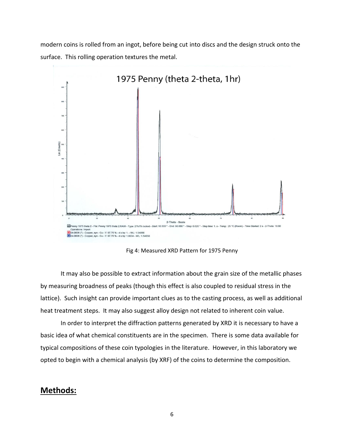modern coins is rolled from an ingot, before being cut into discs and the design struck onto the surface. This rolling operation textures the metal.



Fig 4: Measured XRD Pattern for 1975 Penny

It may also be possible to extract information about the grain size of the metallic phases by measuring broadness of peaks (though this effect is also coupled to residual stress in the lattice). Such insight can provide important clues as to the casting process, as well as additional heat treatment steps. It may also suggest alloy design not related to inherent coin value.

In order to interpret the diffraction patterns generated by XRD it is necessary to have a basic idea of what chemical constituents are in the specimen. There is some data available for typical compositions of these coin typologies in the literature. However, in this laboratory we opted to begin with a chemical analysis (by XRF) of the coins to determine the composition.

# **Methods:**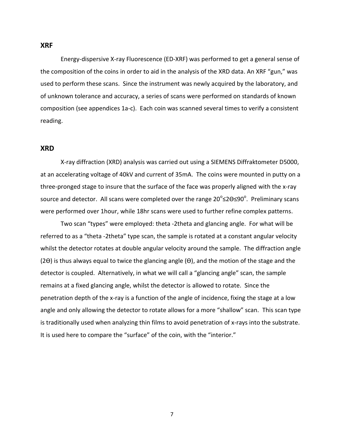#### **XRF**

Energy-dispersive X-ray Fluorescence (ED-XRF) was performed to get a general sense of the composition of the coins in order to aid in the analysis of the XRD data. An XRF "gun," was used to perform these scans. Since the instrument was newly acquired by the laboratory, and of unknown tolerance and accuracy, a series of scans were performed on standards of known composition (see appendices 1a-c). Each coin was scanned several times to verify a consistent reading.

### **XRD**

X-ray diffraction (XRD) analysis was carried out using a SIEMENS Diffraktometer D5000, at an accelerating voltage of 40kV and current of 35mA. The coins were mounted in putty on a three-pronged stage to insure that the surface of the face was properly aligned with the x-ray source and detector. All scans were completed over the range 20 $^{\circ}$ ≤2Ѳ≤90 $^{\circ}$ . Preliminary scans were performed over 1hour, while 18hr scans were used to further refine complex patterns.

Two scan "types" were employed: theta -2theta and glancing angle. For what will be referred to as a "theta -2theta" type scan, the sample is rotated at a constant angular velocity whilst the detector rotates at double angular velocity around the sample. The diffraction angle (2Ѳ) is thus always equal to twice the glancing angle (Ѳ), and the motion of the stage and the detector is coupled. Alternatively, in what we will call a "glancing angle" scan, the sample remains at a fixed glancing angle, whilst the detector is allowed to rotate. Since the penetration depth of the x-ray is a function of the angle of incidence, fixing the stage at a low angle and only allowing the detector to rotate allows for a more "shallow" scan. This scan type is traditionally used when analyzing thin films to avoid penetration of x-rays into the substrate. It is used here to compare the "surface" of the coin, with the "interior."

7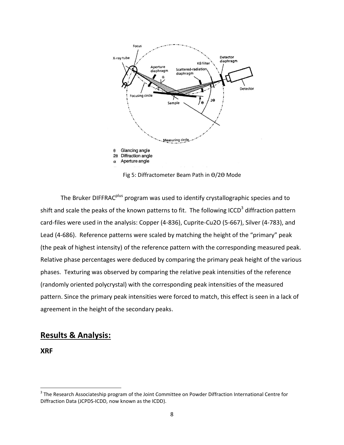

Fig 5: Diffractometer Beam Path in Ѳ/2Ѳ Mode

The Bruker DIFFRAC<sup>plus</sup> program was used to identify crystallographic species and to shift and scale the peaks of the known patterns to fit. The following ICCD<sup>3</sup> diffraction pattern card-files were used in the analysis: Copper (4-836), Cuprite-Cu2O (5-667), Silver (4-783), and Lead (4-686). Reference patterns were scaled by matching the height of the "primary" peak (the peak of highest intensity) of the reference pattern with the corresponding measured peak. Relative phase percentages were deduced by comparing the primary peak height of the various phases. Texturing was observed by comparing the relative peak intensities of the reference (randomly oriented polycrystal) with the corresponding peak intensities of the measured pattern. Since the primary peak intensities were forced to match, this effect is seen in a lack of agreement in the height of the secondary peaks.

# **Results & Analysis:**

**XRF**

l

 $3$  The Research Associateship program of the Joint Committee on Powder Diffraction International Centre for Diffraction Data (JCPDS-ICDD, now known as the ICDD).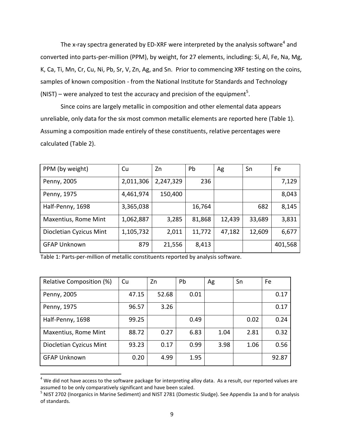The x-ray spectra generated by ED-XRF were interpreted by the analysis software<sup>4</sup> and converted into parts-per-million (PPM), by weight, for 27 elements, including: Si, Al, Fe, Na, Mg, K, Ca, Ti, Mn, Cr, Cu, Ni, Pb, Sr, V, Zn, Ag, and Sn. Prior to commencing XRF testing on the coins, samples of known composition - from the National Institute for Standards and Technology (NIST) – were analyzed to test the accuracy and precision of the equipment<sup>5</sup>.

Since coins are largely metallic in composition and other elemental data appears unreliable, only data for the six most common metallic elements are reported here (Table 1). Assuming a composition made entirely of these constituents, relative percentages were calculated (Table 2).

| PPM (by weight)         | Cu        | Zn        | Pb     | Ag     | Sn     | Fe      |
|-------------------------|-----------|-----------|--------|--------|--------|---------|
| Penny, 2005             | 2,011,306 | 2,247,329 | 236    |        |        | 7,129   |
| Penny, 1975             | 4,461,974 | 150,400   |        |        |        | 8,043   |
| Half-Penny, 1698        | 3,365,038 |           | 16,764 |        | 682    | 8,145   |
| Maxentius, Rome Mint    | 1,062,887 | 3,285     | 81,868 | 12,439 | 33,689 | 3,831   |
| Diocletian Cyzicus Mint | 1,105,732 | 2,011     | 11,772 | 47,182 | 12,609 | 6,677   |
| <b>GFAP Unknown</b>     | 879       | 21,556    | 8,413  |        |        | 401,568 |

Table 1: Parts-per-million of metallic constituents reported by analysis software.

 $\overline{a}$ 

| Relative Composition (%) | Cu    | Zn    | Pb   | Ag   | Sn   | Fe    |
|--------------------------|-------|-------|------|------|------|-------|
| Penny, 2005              | 47.15 | 52.68 | 0.01 |      |      | 0.17  |
| Penny, 1975              | 96.57 | 3.26  |      |      |      | 0.17  |
| Half-Penny, 1698         | 99.25 |       | 0.49 |      | 0.02 | 0.24  |
| Maxentius, Rome Mint     | 88.72 | 0.27  | 6.83 | 1.04 | 2.81 | 0.32  |
| Diocletian Cyzicus Mint  | 93.23 | 0.17  | 0.99 | 3.98 | 1.06 | 0.56  |
| <b>GFAP Unknown</b>      | 0.20  | 4.99  | 1.95 |      |      | 92.87 |

 $4$  We did not have access to the software package for interpreting alloy data. As a result, our reported values are assumed to be only comparatively significant and have been scaled.

<sup>&</sup>lt;sup>5</sup> NIST 2702 (Inorganics in Marine Sediment) and NIST 2781 (Domestic Sludge). See Appendix 1a and b for analysis of standards.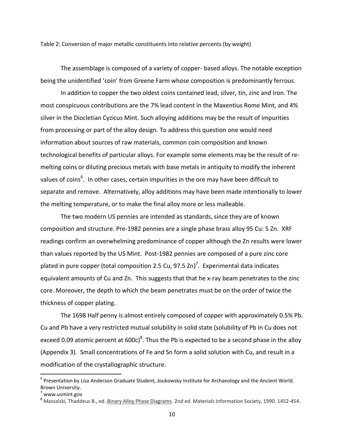Table 2: Conversion of major metallic constituents into relative percents (by weight)

The assemblage is composed of a variety of copper- based alloys. The notable exception being the unidentified 'coin' from Greene Farm whose composition is predominantly ferrous.

In addition to copper the two oldest coins contained lead, silver, tin, zinc and iron. The most conspicuous contributions are the 7% lead content in the Maxentius Rome Mint, and 4% silver in the Diocletian Cyzicus Mint. Such alloying additions may be the result of impurities from processing or part of the alloy design. To address this question one would need information about sources of raw materials, common coin composition and known technological benefits of particular alloys. For example some elements may be the result of remelting coins or diluting precious metals with base metals in antiquity to modify the inherent values of coins<sup>6</sup>. In other cases, certain impurities in the ore may have been difficult to separate and remove. Alternatively, alloy additions may have been made intentionally to lower the melting temperature, or to make the final alloy more or less malleable.

The two modern US pennies are intended as standards, since they are of known composition and structure. Pre-1982 pennies are a single phase brass alloy 95 Cu: 5 Zn. XRF readings confirm an overwhelming predominance of copper although the Zn results were lower than values reported by the US Mint. Post-1982 pennies are composed of a pure zinc core plated in pure copper (total composition 2.5 Cu, 97.5 Zn)<sup>7</sup>. Experimental data indicates equivalent amounts of Cu and Zn. This suggests that that he x-ray beam penetrates to the zinc core. Moreover, the depth to which the beam penetrates must be on the order of twice the thickness of copper plating.

The 1698 Half penny is almost entirely composed of copper with approximately 0.5% Pb. Cu and Pb have a very restricted mutual solubility in solid state (solubility of Pb in Cu does not exceed 0.09 atomic percent at 600c)<sup>8</sup>. Thus the Pb is expected to be a second phase in the alloy (Appendix 3). Small concentrations of Fe and Sn form a solid solution with Cu, and result in a modification of the crystallographic structure.

 $\overline{a}$ 

<sup>&</sup>lt;sup>6</sup> Presentation by Lisa Anderson Graduate Student, Joukowsky Institute for Archaeology and the Ancient World. Brown University.

 $^7$  www.usmint.gov

<sup>&</sup>lt;sup>8</sup> Massalski, Thaddeus B., ed. Binary Alloy Phase Diagrams. 2nd ed. Materials Information Society, 1990. 1452-454.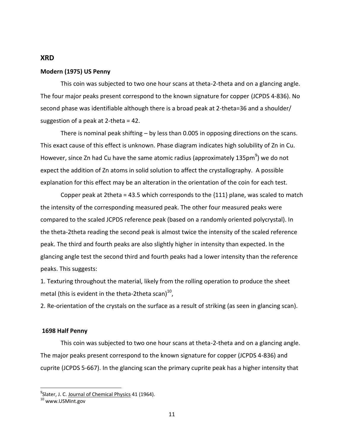#### **XRD**

#### **Modern (1975) US Penny**

This coin was subjected to two one hour scans at theta-2-theta and on a glancing angle. The four major peaks present correspond to the known signature for copper (JCPDS 4-836). No second phase was identifiable although there is a broad peak at 2-theta=36 and a shoulder/ suggestion of a peak at 2-theta = 42.

There is nominal peak shifting – by less than 0.005 in opposing directions on the scans. This exact cause of this effect is unknown. Phase diagram indicates high solubility of Zn in Cu. However, since Zn had Cu have the same atomic radius (approximately 135pm $^9$ ) we do not expect the addition of Zn atoms in solid solution to affect the crystallography. A possible explanation for this effect may be an alteration in the orientation of the coin for each test.

Copper peak at 2theta = 43.5 which corresponds to the  $\{111\}$  plane, was scaled to match the intensity of the corresponding measured peak. The other four measured peaks were compared to the scaled JCPDS reference peak (based on a randomly oriented polycrystal). In the theta-2theta reading the second peak is almost twice the intensity of the scaled reference peak. The third and fourth peaks are also slightly higher in intensity than expected. In the glancing angle test the second third and fourth peaks had a lower intensity than the reference peaks. This suggests:

1. Texturing throughout the material, likely from the rolling operation to produce the sheet metal (this is evident in the theta-2theta scan) $^{10}$ ,

2. Re-orientation of the crystals on the surface as a result of striking (as seen in glancing scan).

#### **1698 Half Penny**

This coin was subjected to two one hour scans at theta-2-theta and on a glancing angle. The major peaks present correspond to the known signature for copper (JCPDS 4-836) and cuprite (JCPDS 5-667). In the glancing scan the primary cuprite peak has a higher intensity that

l

<sup>&</sup>lt;sup>9</sup>Slater, J. C. <u>Journal of Chemical Physics</u> 41 (1964).

<sup>10</sup> www.USMint.gov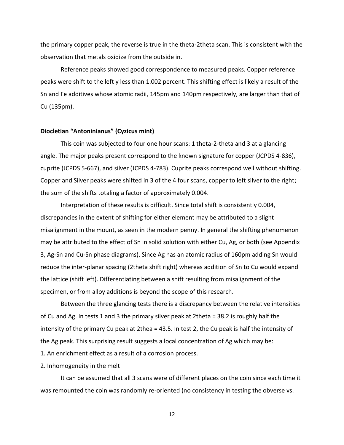the primary copper peak, the reverse is true in the theta-2theta scan. This is consistent with the observation that metals oxidize from the outside in.

Reference peaks showed good correspondence to measured peaks. Copper reference peaks were shift to the left y less than 1.002 percent. This shifting effect is likely a result of the Sn and Fe additives whose atomic radii, 145pm and 140pm respectively, are larger than that of Cu (135pm).

#### **Diocletian "Antoninianus" (Cyzicus mint)**

This coin was subjected to four one hour scans: 1 theta-2-theta and 3 at a glancing angle. The major peaks present correspond to the known signature for copper (JCPDS 4-836), cuprite (JCPDS 5-667), and silver (JCPDS 4-783). Cuprite peaks correspond well without shifting. Copper and Silver peaks were shifted in 3 of the 4 four scans, copper to left silver to the right; the sum of the shifts totaling a factor of approximately 0.004.

Interpretation of these results is difficult. Since total shift is consistently 0.004, discrepancies in the extent of shifting for either element may be attributed to a slight misalignment in the mount, as seen in the modern penny. In general the shifting phenomenon may be attributed to the effect of Sn in solid solution with either Cu, Ag, or both (see Appendix 3, Ag-Sn and Cu-Sn phase diagrams). Since Ag has an atomic radius of 160pm adding Sn would reduce the inter-planar spacing (2theta shift right) whereas addition of Sn to Cu would expand the lattice (shift left). Differentiating between a shift resulting from misalignment of the specimen, or from alloy additions is beyond the scope of this research.

Between the three glancing tests there is a discrepancy between the relative intensities of Cu and Ag. In tests 1 and 3 the primary silver peak at 2theta = 38.2 is roughly half the intensity of the primary Cu peak at 2thea = 43.5. In test 2, the Cu peak is half the intensity of the Ag peak. This surprising result suggests a local concentration of Ag which may be: 1. An enrichment effect as a result of a corrosion process.

2. Inhomogeneity in the melt

It can be assumed that all 3 scans were of different places on the coin since each time it was remounted the coin was randomly re-oriented (no consistency in testing the obverse vs.

12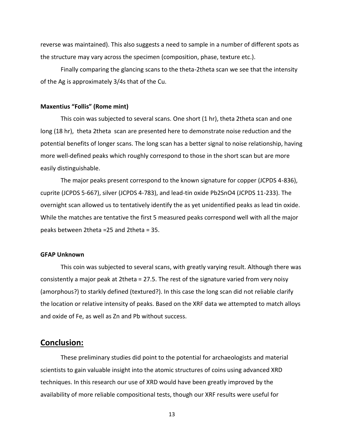reverse was maintained). This also suggests a need to sample in a number of different spots as the structure may vary across the specimen (composition, phase, texture etc.).

Finally comparing the glancing scans to the theta-2theta scan we see that the intensity of the Ag is approximately 3/4s that of the Cu.

#### **Maxentius "Follis" (Rome mint)**

This coin was subjected to several scans. One short (1 hr), theta 2theta scan and one long (18 hr), theta 2theta scan are presented here to demonstrate noise reduction and the potential benefits of longer scans. The long scan has a better signal to noise relationship, having more well-defined peaks which roughly correspond to those in the short scan but are more easily distinguishable.

The major peaks present correspond to the known signature for copper (JCPDS 4-836), cuprite (JCPDS 5-667), silver (JCPDS 4-783), and lead-tin oxide Pb2SnO4 (JCPDS 11-233). The overnight scan allowed us to tentatively identify the as yet unidentified peaks as lead tin oxide. While the matches are tentative the first 5 measured peaks correspond well with all the major peaks between 2theta =25 and 2theta = 35.

#### **GFAP Unknown**

This coin was subjected to several scans, with greatly varying result. Although there was consistently a major peak at 2theta = 27.5. The rest of the signature varied from very noisy (amorphous?) to starkly defined (textured?). In this case the long scan did not reliable clarify the location or relative intensity of peaks. Based on the XRF data we attempted to match alloys and oxide of Fe, as well as Zn and Pb without success.

## **Conclusion:**

These preliminary studies did point to the potential for archaeologists and material scientists to gain valuable insight into the atomic structures of coins using advanced XRD techniques. In this research our use of XRD would have been greatly improved by the availability of more reliable compositional tests, though our XRF results were useful for

13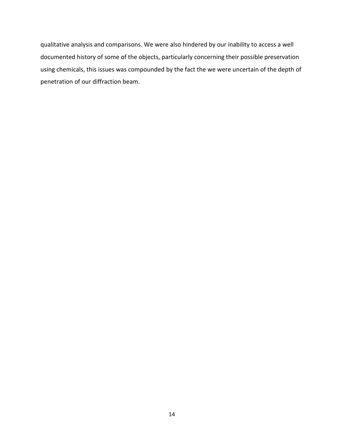qualitative analysis and comparisons. We were also hindered by our inability to access a well documented history of some of the objects, particularly concerning their possible preservation using chemicals, this issues was compounded by the fact the we were uncertain of the depth of penetration of our diffraction beam.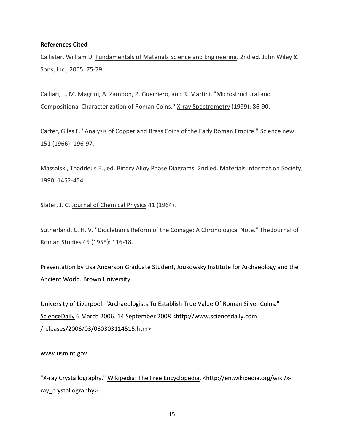#### **References Cited**

Callister, William D. Fundamentals of Materials Science and Engineering. 2nd ed. John Wiley & Sons, Inc., 2005. 75-79.

Calliari, I., M. Magrini, A. Zambon, P. Guerriero, and R. Martini. "Microstructural and Compositional Characterization of Roman Coins." X-ray Spectrometry (1999): 86-90.

Carter, Giles F. "Analysis of Copper and Brass Coins of the Early Roman Empire." Science new 151 (1966): 196-97.

Massalski, Thaddeus B., ed. Binary Alloy Phase Diagrams. 2nd ed. Materials Information Society, 1990. 1452-454.

Slater, J. C. Journal of Chemical Physics 41 (1964).

Sutherland, C. H. V. "Diocletian's Reform of the Coinage: A Chronological Note." The Journal of Roman Studies 45 (1955): 116-18.

Presentation by Lisa Anderson Graduate Student, Joukowsky Institute for Archaeology and the Ancient World. Brown University.

University of Liverpool. "Archaeologists To Establish True Value Of Roman Silver Coins." ScienceDaily 6 March 2006. 14 September 2008 <http://www.sciencedaily.com /releases/2006/03/060303114515.htm>.

www.usmint.gov

"X-ray Crystallography." Wikipedia: The Free Encyclopedia. <http://en.wikipedia.org/wiki/xray\_crystallography>.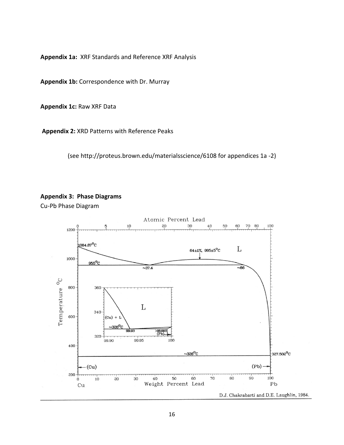**Appendix 1a:** XRF Standards and Reference XRF Analysis

**Appendix 1b:** Correspondence with Dr. Murray

**Appendix 1c:** Raw XRF Data

**Appendix 2:** XRD Patterns with Reference Peaks

(see http://proteus.brown.edu/materialsscience/6108 for appendices 1a -2)



Cu-Pb Phase Diagram

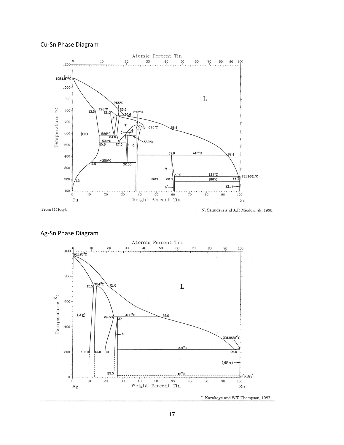# Cu-Sn Phase Diagram



From [44Ray].

N. Saunders and A.P. Miodownik, 1990.